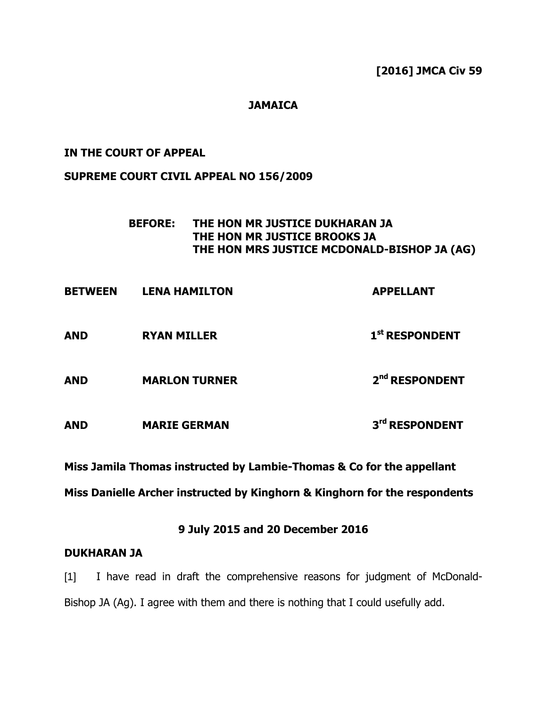**[2016] JMCA Civ 59**

## **JAMAICA**

### **IN THE COURT OF APPEAL**

### **SUPREME COURT CIVIL APPEAL NO 156/2009**

## **BEFORE: THE HON MR JUSTICE DUKHARAN JA THE HON MR JUSTICE BROOKS JA THE HON MRS JUSTICE MCDONALD-BISHOP JA (AG)**

| <b>BETWEEN</b> | <b>LENA HAMILTON</b> | <b>APPELLANT</b>           |
|----------------|----------------------|----------------------------|
| <b>AND</b>     | <b>RYAN MILLER</b>   | 1 <sup>st</sup> RESPONDENT |
| <b>AND</b>     | <b>MARLON TURNER</b> | 2 <sup>nd</sup> RESPONDENT |
| <b>AND</b>     | <b>MARIE GERMAN</b>  | 3rd RESPONDENT             |

**Miss Jamila Thomas instructed by Lambie-Thomas & Co for the appellant**

**Miss Danielle Archer instructed by Kinghorn & Kinghorn for the respondents**

# **9 July 2015 and 20 December 2016**

### **DUKHARAN JA**

[1] I have read in draft the comprehensive reasons for judgment of McDonald-Bishop JA (Ag). I agree with them and there is nothing that I could usefully add.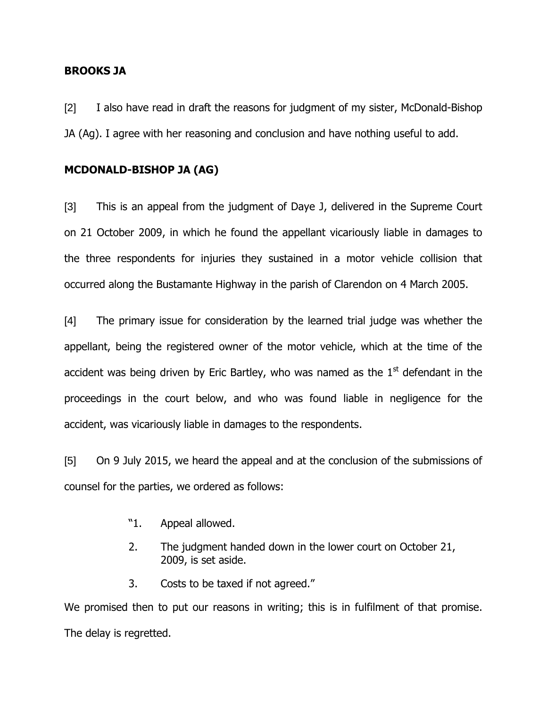### **BROOKS JA**

[2] I also have read in draft the reasons for judgment of my sister, McDonald-Bishop JA (Ag). I agree with her reasoning and conclusion and have nothing useful to add.

### **MCDONALD-BISHOP JA (AG)**

[3] This is an appeal from the judgment of Daye J, delivered in the Supreme Court on 21 October 2009, in which he found the appellant vicariously liable in damages to the three respondents for injuries they sustained in a motor vehicle collision that occurred along the Bustamante Highway in the parish of Clarendon on 4 March 2005.

[4] The primary issue for consideration by the learned trial judge was whether the appellant, being the registered owner of the motor vehicle, which at the time of the accident was being driven by Eric Bartley, who was named as the  $1<sup>st</sup>$  defendant in the proceedings in the court below, and who was found liable in negligence for the accident, was vicariously liable in damages to the respondents.

[5] On 9 July 2015, we heard the appeal and at the conclusion of the submissions of counsel for the parties, we ordered as follows:

- "1. Appeal allowed.
- 2. The judgment handed down in the lower court on October 21, 2009, is set aside.
- 3. Costs to be taxed if not agreed."

We promised then to put our reasons in writing; this is in fulfilment of that promise. The delay is regretted.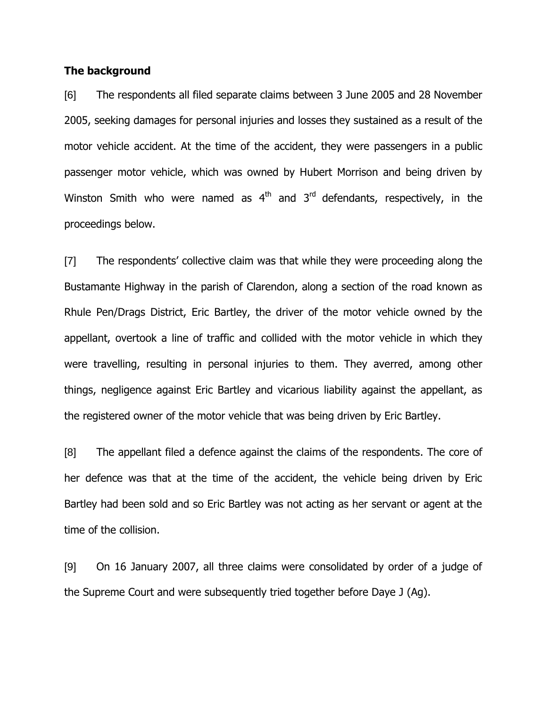### **The background**

[6] The respondents all filed separate claims between 3 June 2005 and 28 November 2005, seeking damages for personal injuries and losses they sustained as a result of the motor vehicle accident. At the time of the accident, they were passengers in a public passenger motor vehicle, which was owned by Hubert Morrison and being driven by Winston Smith who were named as  $4<sup>th</sup>$  and  $3<sup>rd</sup>$  defendants, respectively, in the proceedings below.

[7] The respondents" collective claim was that while they were proceeding along the Bustamante Highway in the parish of Clarendon, along a section of the road known as Rhule Pen/Drags District, Eric Bartley, the driver of the motor vehicle owned by the appellant, overtook a line of traffic and collided with the motor vehicle in which they were travelling, resulting in personal injuries to them. They averred, among other things, negligence against Eric Bartley and vicarious liability against the appellant, as the registered owner of the motor vehicle that was being driven by Eric Bartley.

[8] The appellant filed a defence against the claims of the respondents. The core of her defence was that at the time of the accident, the vehicle being driven by Eric Bartley had been sold and so Eric Bartley was not acting as her servant or agent at the time of the collision.

[9] On 16 January 2007, all three claims were consolidated by order of a judge of the Supreme Court and were subsequently tried together before Daye J (Ag).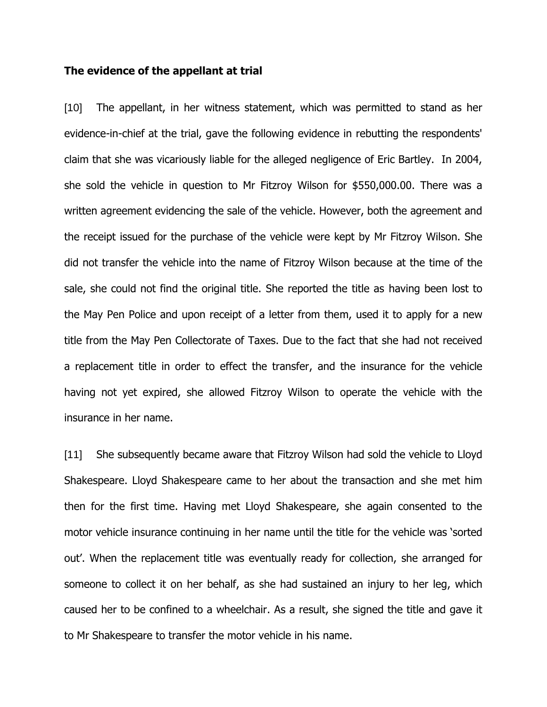#### **The evidence of the appellant at trial**

[10] The appellant, in her witness statement, which was permitted to stand as her evidence-in-chief at the trial, gave the following evidence in rebutting the respondents' claim that she was vicariously liable for the alleged negligence of Eric Bartley. In 2004, she sold the vehicle in question to Mr Fitzroy Wilson for \$550,000.00. There was a written agreement evidencing the sale of the vehicle. However, both the agreement and the receipt issued for the purchase of the vehicle were kept by Mr Fitzroy Wilson. She did not transfer the vehicle into the name of Fitzroy Wilson because at the time of the sale, she could not find the original title. She reported the title as having been lost to the May Pen Police and upon receipt of a letter from them, used it to apply for a new title from the May Pen Collectorate of Taxes. Due to the fact that she had not received a replacement title in order to effect the transfer, and the insurance for the vehicle having not yet expired, she allowed Fitzroy Wilson to operate the vehicle with the insurance in her name.

[11] She subsequently became aware that Fitzroy Wilson had sold the vehicle to Lloyd Shakespeare. Lloyd Shakespeare came to her about the transaction and she met him then for the first time. Having met Lloyd Shakespeare, she again consented to the motor vehicle insurance continuing in her name until the title for the vehicle was "sorted out". When the replacement title was eventually ready for collection, she arranged for someone to collect it on her behalf, as she had sustained an injury to her leg, which caused her to be confined to a wheelchair. As a result, she signed the title and gave it to Mr Shakespeare to transfer the motor vehicle in his name.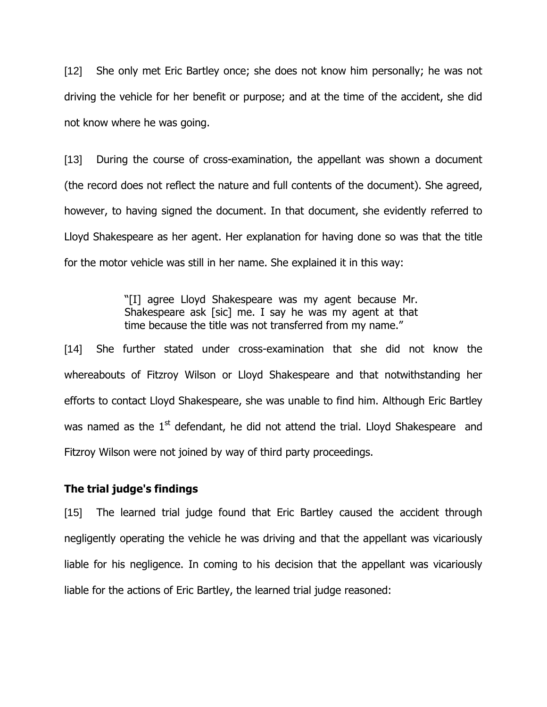[12] She only met Eric Bartley once; she does not know him personally; he was not driving the vehicle for her benefit or purpose; and at the time of the accident, she did not know where he was going.

[13] During the course of cross-examination, the appellant was shown a document (the record does not reflect the nature and full contents of the document). She agreed, however, to having signed the document. In that document, she evidently referred to Lloyd Shakespeare as her agent. Her explanation for having done so was that the title for the motor vehicle was still in her name. She explained it in this way:

> "[I] agree Lloyd Shakespeare was my agent because Mr. Shakespeare ask [sic] me. I say he was my agent at that time because the title was not transferred from my name."

[14] She further stated under cross-examination that she did not know the whereabouts of Fitzroy Wilson or Lloyd Shakespeare and that notwithstanding her efforts to contact Lloyd Shakespeare, she was unable to find him. Although Eric Bartley was named as the  $1<sup>st</sup>$  defendant, he did not attend the trial. Lloyd Shakespeare and Fitzroy Wilson were not joined by way of third party proceedings.

### **The trial judge's findings**

[15] The learned trial judge found that Eric Bartley caused the accident through negligently operating the vehicle he was driving and that the appellant was vicariously liable for his negligence. In coming to his decision that the appellant was vicariously liable for the actions of Eric Bartley, the learned trial judge reasoned: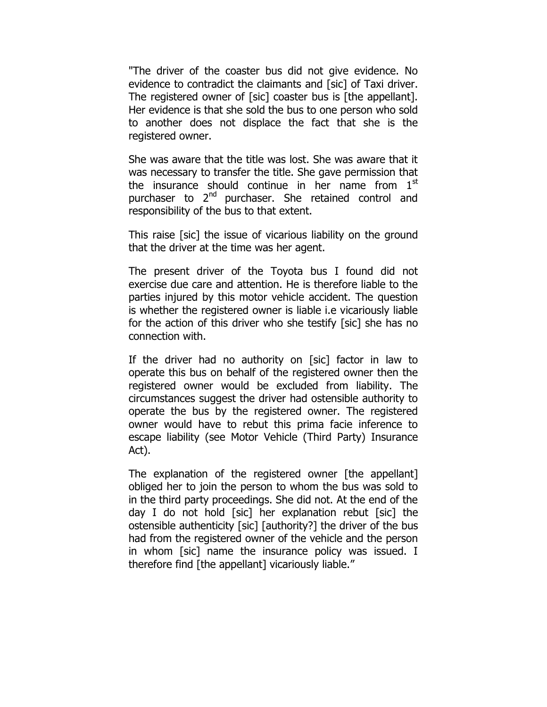"The driver of the coaster bus did not give evidence. No evidence to contradict the claimants and [sic] of Taxi driver. The registered owner of [sic] coaster bus is [the appellant]. Her evidence is that she sold the bus to one person who sold to another does not displace the fact that she is the registered owner.

She was aware that the title was lost. She was aware that it was necessary to transfer the title. She gave permission that the insurance should continue in her name from  $1<sup>st</sup>$ purchaser to 2<sup>nd</sup> purchaser. She retained control and responsibility of the bus to that extent.

This raise [sic] the issue of vicarious liability on the ground that the driver at the time was her agent.

The present driver of the Toyota bus I found did not exercise due care and attention. He is therefore liable to the parties injured by this motor vehicle accident. The question is whether the registered owner is liable i.e vicariously liable for the action of this driver who she testify [sic] she has no connection with.

If the driver had no authority on [sic] factor in law to operate this bus on behalf of the registered owner then the registered owner would be excluded from liability. The circumstances suggest the driver had ostensible authority to operate the bus by the registered owner. The registered owner would have to rebut this prima facie inference to escape liability (see Motor Vehicle (Third Party) Insurance Act).

The explanation of the registered owner [the appellant] obliged her to join the person to whom the bus was sold to in the third party proceedings. She did not. At the end of the day I do not hold [sic] her explanation rebut [sic] the ostensible authenticity [sic] [authority?] the driver of the bus had from the registered owner of the vehicle and the person in whom [sic] name the insurance policy was issued. I therefore find [the appellant] vicariously liable."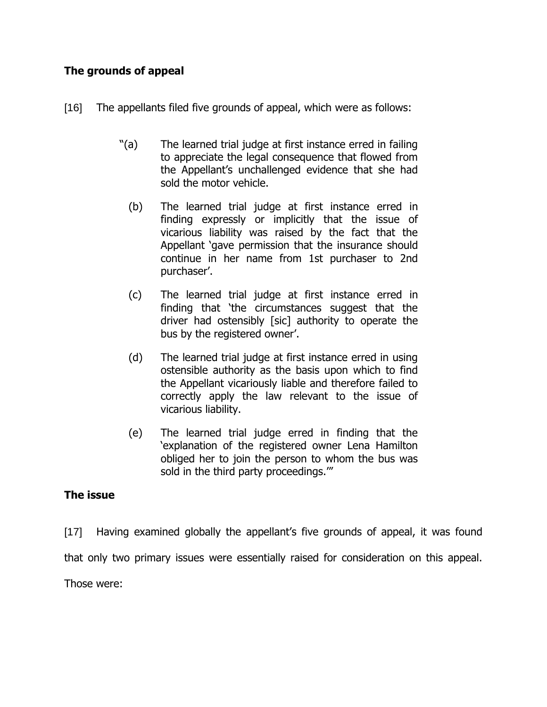# **The grounds of appeal**

- [16] The appellants filed five grounds of appeal, which were as follows:
	- "(a) The learned trial judge at first instance erred in failing to appreciate the legal consequence that flowed from the Appellant"s unchallenged evidence that she had sold the motor vehicle.
		- (b) The learned trial judge at first instance erred in finding expressly or implicitly that the issue of vicarious liability was raised by the fact that the Appellant "gave permission that the insurance should continue in her name from 1st purchaser to 2nd purchaser".
		- (c) The learned trial judge at first instance erred in finding that "the circumstances suggest that the driver had ostensibly [sic] authority to operate the bus by the registered owner'.
		- (d) The learned trial judge at first instance erred in using ostensible authority as the basis upon which to find the Appellant vicariously liable and therefore failed to correctly apply the law relevant to the issue of vicarious liability.
		- (e) The learned trial judge erred in finding that the "explanation of the registered owner Lena Hamilton obliged her to join the person to whom the bus was sold in the third party proceedings.""

## **The issue**

[17] Having examined globally the appellant's five grounds of appeal, it was found that only two primary issues were essentially raised for consideration on this appeal. Those were: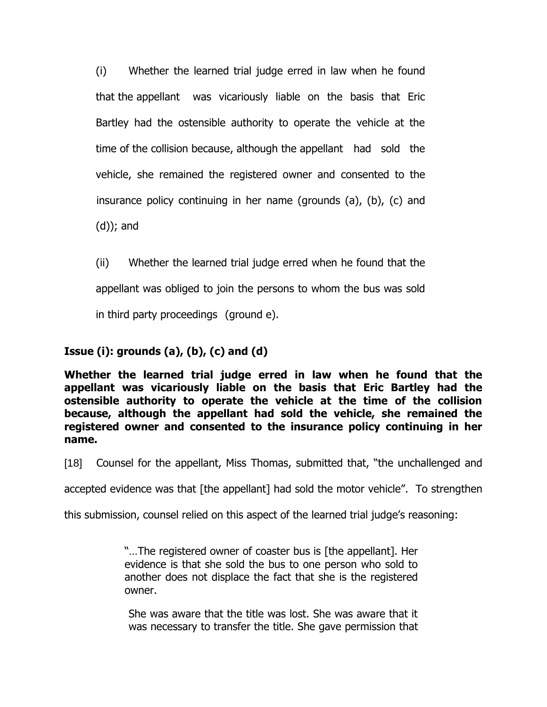(i) Whether the learned trial judge erred in law when he found that the appellant was vicariously liable on the basis that Eric Bartley had the ostensible authority to operate the vehicle at the time of the collision because, although the appellant had sold the vehicle, she remained the registered owner and consented to the insurance policy continuing in her name (grounds (a), (b), (c) and (d)); and

(ii) Whether the learned trial judge erred when he found that the appellant was obliged to join the persons to whom the bus was sold in third party proceedings (ground e).

# **Issue (i): grounds (a), (b), (c) and (d)**

**Whether the learned trial judge erred in law when he found that the appellant was vicariously liable on the basis that Eric Bartley had the ostensible authority to operate the vehicle at the time of the collision because, although the appellant had sold the vehicle, she remained the registered owner and consented to the insurance policy continuing in her name.**

[18] Counsel for the appellant, Miss Thomas, submitted that, "the unchallenged and

accepted evidence was that [the appellant] had sold the motor vehicle". To strengthen

this submission, counsel relied on this aspect of the learned trial judge's reasoning:

"…The registered owner of coaster bus is [the appellant]. Her evidence is that she sold the bus to one person who sold to another does not displace the fact that she is the registered owner.

She was aware that the title was lost. She was aware that it was necessary to transfer the title. She gave permission that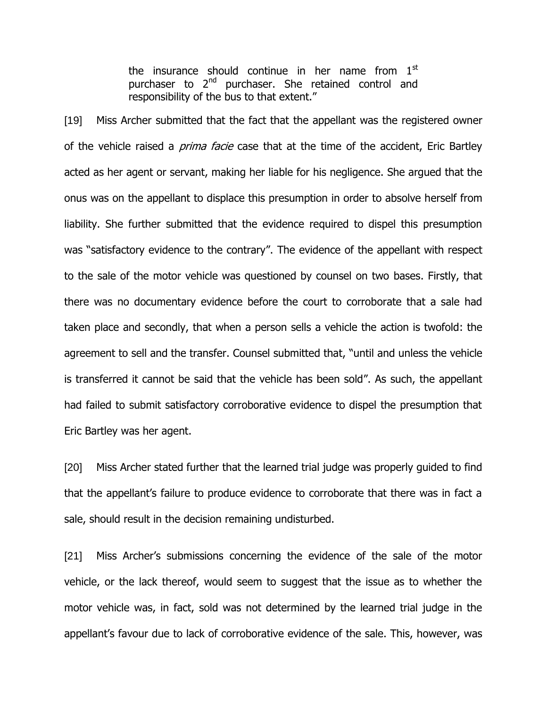the insurance should continue in her name from  $1<sup>st</sup>$ purchaser to 2<sup>nd</sup> purchaser. She retained control and responsibility of the bus to that extent."

[19] Miss Archer submitted that the fact that the appellant was the registered owner of the vehicle raised a *prima facie* case that at the time of the accident, Eric Bartley acted as her agent or servant, making her liable for his negligence. She argued that the onus was on the appellant to displace this presumption in order to absolve herself from liability. She further submitted that the evidence required to dispel this presumption was "satisfactory evidence to the contrary". The evidence of the appellant with respect to the sale of the motor vehicle was questioned by counsel on two bases. Firstly, that there was no documentary evidence before the court to corroborate that a sale had taken place and secondly, that when a person sells a vehicle the action is twofold: the agreement to sell and the transfer. Counsel submitted that, "until and unless the vehicle is transferred it cannot be said that the vehicle has been sold". As such, the appellant had failed to submit satisfactory corroborative evidence to dispel the presumption that Eric Bartley was her agent.

[20] Miss Archer stated further that the learned trial judge was properly guided to find that the appellant"s failure to produce evidence to corroborate that there was in fact a sale, should result in the decision remaining undisturbed.

[21] Miss Archer's submissions concerning the evidence of the sale of the motor vehicle, or the lack thereof, would seem to suggest that the issue as to whether the motor vehicle was, in fact, sold was not determined by the learned trial judge in the appellant's favour due to lack of corroborative evidence of the sale. This, however, was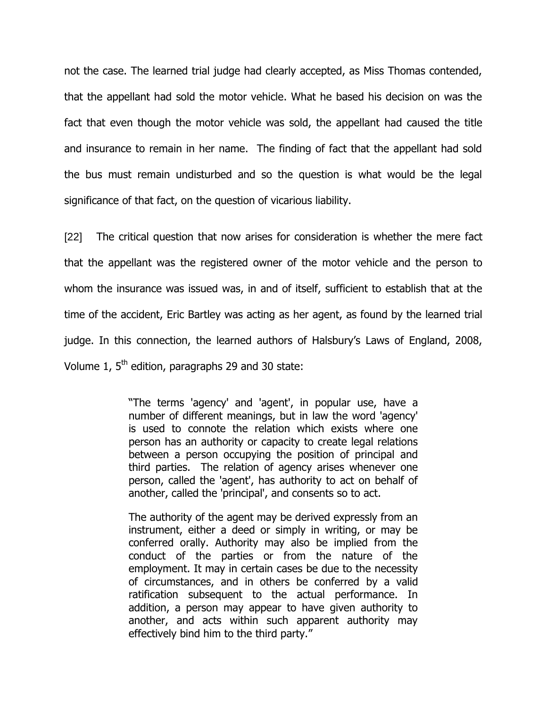not the case. The learned trial judge had clearly accepted, as Miss Thomas contended, that the appellant had sold the motor vehicle. What he based his decision on was the fact that even though the motor vehicle was sold, the appellant had caused the title and insurance to remain in her name. The finding of fact that the appellant had sold the bus must remain undisturbed and so the question is what would be the legal significance of that fact, on the question of vicarious liability.

[22] The critical question that now arises for consideration is whether the mere fact that the appellant was the registered owner of the motor vehicle and the person to whom the insurance was issued was, in and of itself, sufficient to establish that at the time of the accident, Eric Bartley was acting as her agent, as found by the learned trial judge. In this connection, the learned authors of Halsbury"s Laws of England, 2008, Volume 1,  $5<sup>th</sup>$  edition, paragraphs 29 and 30 state:

> "The terms 'agency' and 'agent', in popular use, have a number of different meanings, but in law the word 'agency' is used to connote the relation which exists where one person has an authority or capacity to create legal relations between a person occupying the position of principal and third parties. The relation of agency arises whenever one person, called the 'agent', has authority to act on behalf of another, called the 'principal', and consents so to act.

> The authority of the agent may be derived expressly from an instrument, either a deed or simply in writing, or may be conferred orally. Authority may also be implied from the conduct of the parties or from the nature of the employment. It may in certain cases be due to the necessity of circumstances, and in others be conferred by a valid ratification subsequent to the actual performance. In addition, a person may appear to have given authority to another, and acts within such apparent authority may effectively bind him to the third party."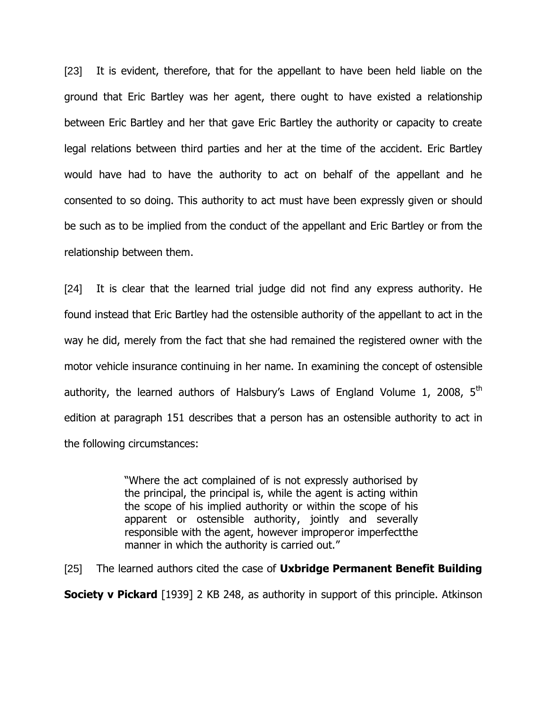[23] It is evident, therefore, that for the appellant to have been held liable on the ground that Eric Bartley was her agent, there ought to have existed a relationship between Eric Bartley and her that gave Eric Bartley the authority or capacity to create legal relations between third parties and her at the time of the accident. Eric Bartley would have had to have the authority to act on behalf of the appellant and he consented to so doing. This authority to act must have been expressly given or should be such as to be implied from the conduct of the appellant and Eric Bartley or from the relationship between them.

[24] It is clear that the learned trial judge did not find any express authority. He found instead that Eric Bartley had the ostensible authority of the appellant to act in the way he did, merely from the fact that she had remained the registered owner with the motor vehicle insurance continuing in her name. In examining the concept of ostensible authority, the learned authors of Halsbury's Laws of England Volume 1, 2008,  $5<sup>th</sup>$ edition at paragraph 151 describes that a person has an ostensible authority to act in the following circumstances:

> "Where the act complained of is not expressly authorised by the principal, the principal is, while the agent is acting within the scope of his implied authority or within the scope of his apparent or ostensible authority, jointly and severally responsible with the agent, however improperor imperfectthe manner in which the authority is carried out."

[25] The learned authors cited the case of **Uxbridge Permanent Benefit Building** 

**Society v Pickard** [1939] 2 KB 248, as authority in support of this principle. Atkinson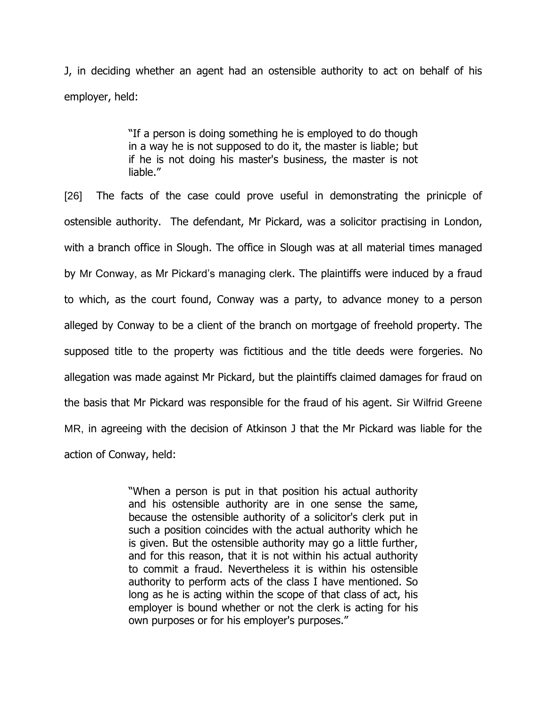J, in deciding whether an agent had an ostensible authority to act on behalf of his employer, held:

> "If a person is doing something he is employed to do though in a way he is not supposed to do it, the master is liable; but if he is not doing his master's business, the master is not liable."

[26] The facts of the case could prove useful in demonstrating the prinicple of ostensible authority. The defendant, Mr Pickard, was a solicitor practising in London, with a branch office in Slough. The office in Slough was at all material times managed by Mr Conway, as Mr Pickard's managing clerk. The plaintiffs were induced by a fraud to which, as the court found, Conway was a party, to advance money to a person alleged by Conway to be a client of the branch on mortgage of freehold property. The supposed title to the property was fictitious and the title deeds were forgeries. No allegation was made against Mr Pickard, but the plaintiffs claimed damages for fraud on the basis that Mr Pickard was responsible for the fraud of his agent. Sir Wilfrid Greene MR, in agreeing with the decision of Atkinson J that the Mr Pickard was liable for the action of Conway, held:

> "When a person is put in that position his actual authority and his ostensible authority are in one sense the same, because the ostensible authority of a solicitor's clerk put in such a position coincides with the actual authority which he is given. But the ostensible authority may go a little further, and for this reason, that it is not within his actual authority to commit a fraud. Nevertheless it is within his ostensible authority to perform acts of the class I have mentioned. So long as he is acting within the scope of that class of act, his employer is bound whether or not the clerk is acting for his own purposes or for his employer's purposes."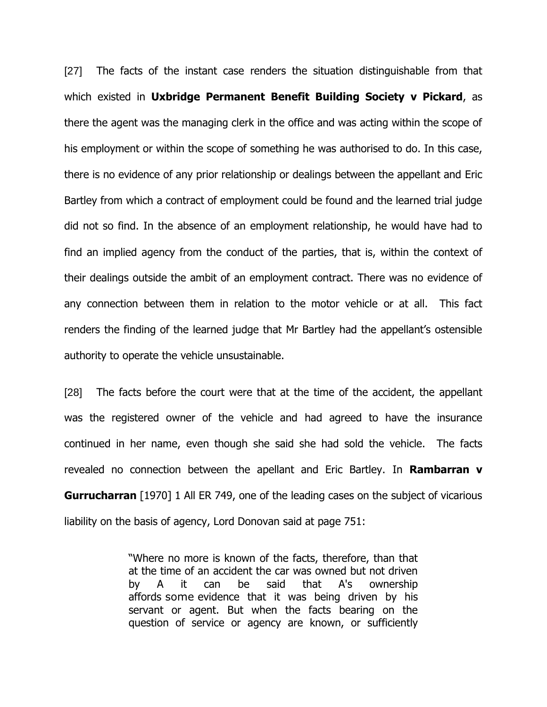[27] The facts of the instant case renders the situation distinguishable from that which existed in **Uxbridge Permanent Benefit Building Society v Pickard**, as there the agent was the managing clerk in the office and was acting within the scope of his employment or within the scope of something he was authorised to do. In this case, there is no evidence of any prior relationship or dealings between the appellant and Eric Bartley from which a contract of employment could be found and the learned trial judge did not so find. In the absence of an employment relationship, he would have had to find an implied agency from the conduct of the parties, that is, within the context of their dealings outside the ambit of an employment contract. There was no evidence of any connection between them in relation to the motor vehicle or at all. This fact renders the finding of the learned judge that Mr Bartley had the appellant"s ostensible authority to operate the vehicle unsustainable.

[28] The facts before the court were that at the time of the accident, the appellant was the registered owner of the vehicle and had agreed to have the insurance continued in her name, even though she said she had sold the vehicle. The facts revealed no connection between the apellant and Eric Bartley. In **Rambarran v Gurrucharran** [1970] 1 All ER 749, one of the leading cases on the subject of vicarious liability on the basis of agency, Lord Donovan said at page 751:

> "Where no more is known of the facts, therefore, than that at the time of an accident the car was owned but not driven by A it can be said that A's ownership affords some evidence that it was being driven by his servant or agent. But when the facts bearing on the question of service or agency are known, or sufficiently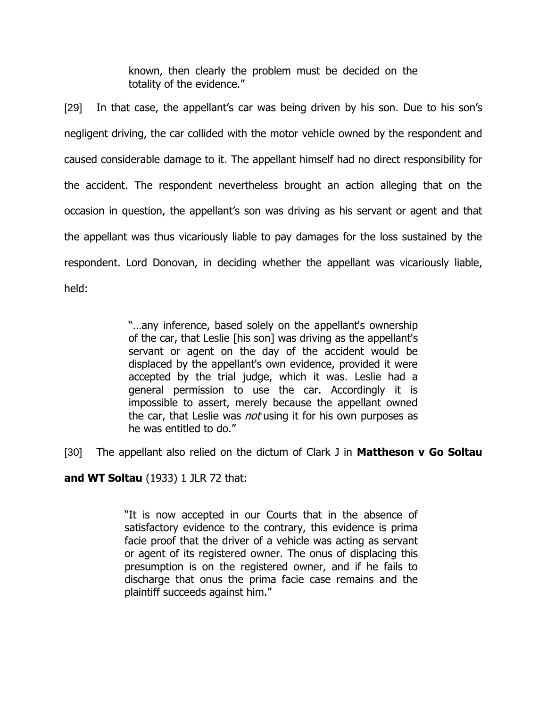known, then clearly the problem must be decided on the totality of the evidence."

[29] In that case, the appellant's car was being driven by his son. Due to his son's negligent driving, the car collided with the motor vehicle owned by the respondent and caused considerable damage to it. The appellant himself had no direct responsibility for the accident. The respondent nevertheless brought an action alleging that on the occasion in question, the appellant"s son was driving as his servant or agent and that the appellant was thus vicariously liable to pay damages for the loss sustained by the respondent. Lord Donovan, in deciding whether the appellant was vicariously liable, held:

> "…any inference, based solely on the appellant's ownership of the car, that Leslie [his son] was driving as the appellant's servant or agent on the day of the accident would be displaced by the appellant's own evidence, provided it were accepted by the trial judge, which it was. Leslie had a general permission to use the car. Accordingly it is impossible to assert, merely because the appellant owned the car, that Leslie was *not* using it for his own purposes as he was entitled to do."

[30] The appellant also relied on the dictum of Clark J in **Mattheson v Go Soltau** 

**and WT Soltau** (1933) 1 JLR 72 that:

"It is now accepted in our Courts that in the absence of satisfactory evidence to the contrary, this evidence is prima facie proof that the driver of a vehicle was acting as servant or agent of its registered owner. The onus of displacing this presumption is on the registered owner, and if he fails to discharge that onus the prima facie case remains and the plaintiff succeeds against him."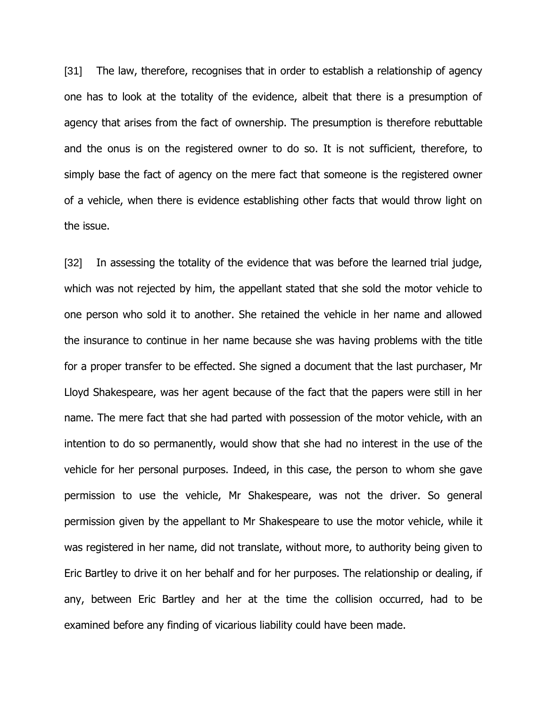[31] The law, therefore, recognises that in order to establish a relationship of agency one has to look at the totality of the evidence, albeit that there is a presumption of agency that arises from the fact of ownership. The presumption is therefore rebuttable and the onus is on the registered owner to do so. It is not sufficient, therefore, to simply base the fact of agency on the mere fact that someone is the registered owner of a vehicle, when there is evidence establishing other facts that would throw light on the issue.

[32] In assessing the totality of the evidence that was before the learned trial judge, which was not rejected by him, the appellant stated that she sold the motor vehicle to one person who sold it to another. She retained the vehicle in her name and allowed the insurance to continue in her name because she was having problems with the title for a proper transfer to be effected. She signed a document that the last purchaser, Mr Lloyd Shakespeare, was her agent because of the fact that the papers were still in her name. The mere fact that she had parted with possession of the motor vehicle, with an intention to do so permanently, would show that she had no interest in the use of the vehicle for her personal purposes. Indeed, in this case, the person to whom she gave permission to use the vehicle, Mr Shakespeare, was not the driver. So general permission given by the appellant to Mr Shakespeare to use the motor vehicle, while it was registered in her name, did not translate, without more, to authority being given to Eric Bartley to drive it on her behalf and for her purposes. The relationship or dealing, if any, between Eric Bartley and her at the time the collision occurred, had to be examined before any finding of vicarious liability could have been made.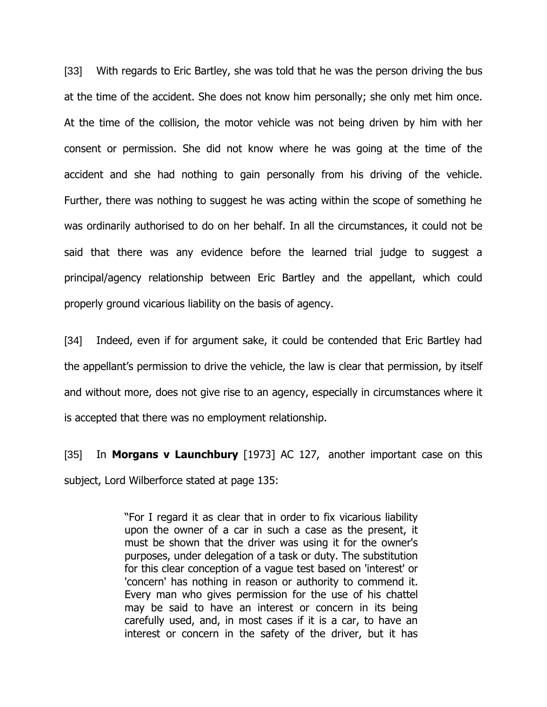[33] With regards to Eric Bartley, she was told that he was the person driving the bus at the time of the accident. She does not know him personally; she only met him once. At the time of the collision, the motor vehicle was not being driven by him with her consent or permission. She did not know where he was going at the time of the accident and she had nothing to gain personally from his driving of the vehicle. Further, there was nothing to suggest he was acting within the scope of something he was ordinarily authorised to do on her behalf. In all the circumstances, it could not be said that there was any evidence before the learned trial judge to suggest a principal/agency relationship between Eric Bartley and the appellant, which could properly ground vicarious liability on the basis of agency.

[34] Indeed, even if for argument sake, it could be contended that Eric Bartley had the appellant's permission to drive the vehicle, the law is clear that permission, by itself and without more, does not give rise to an agency, especially in circumstances where it is accepted that there was no employment relationship.

[35] In **Morgans v Launchbury** [1973] AC 127, another important case on this subject, Lord Wilberforce stated at page 135:

> "For I regard it as clear that in order to fix vicarious liability upon the owner of a car in such a case as the present, it must be shown that the driver was using it for the owner's purposes, under delegation of a task or duty. The substitution for this clear conception of a vague test based on 'interest' or 'concern' has nothing in reason or authority to commend it. Every man who gives permission for the use of his chattel may be said to have an interest or concern in its being carefully used, and, in most cases if it is a car, to have an interest or concern in the safety of the driver, but it has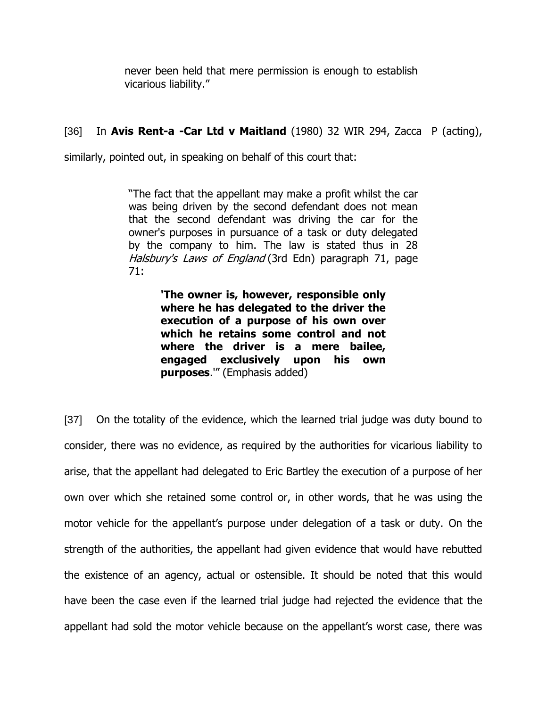never been held that mere permission is enough to establish vicarious liability."

# [36] In **Avis Rent-a -Car Ltd v Maitland** (1980) 32 WIR 294, Zacca P (acting),

similarly, pointed out, in speaking on behalf of this court that:

"The fact that the appellant may make a profit whilst the car was being driven by the second defendant does not mean that the second defendant was driving the car for the owner's purposes in pursuance of a task or duty delegated by the company to him. The law is stated thus in 28 Halsbury's Laws of England (3rd Edn) paragraph 71, page 71:

> **'The owner is, however, responsible only where he has delegated to the driver the execution of a purpose of his own over which he retains some control and not where the driver is a mere bailee, engaged exclusively upon his own purposes**.'" (Emphasis added)

[37] On the totality of the evidence, which the learned trial judge was duty bound to consider, there was no evidence, as required by the authorities for vicarious liability to arise, that the appellant had delegated to Eric Bartley the execution of a purpose of her own over which she retained some control or, in other words, that he was using the motor vehicle for the appellant"s purpose under delegation of a task or duty. On the strength of the authorities, the appellant had given evidence that would have rebutted the existence of an agency, actual or ostensible. It should be noted that this would have been the case even if the learned trial judge had rejected the evidence that the appellant had sold the motor vehicle because on the appellant"s worst case, there was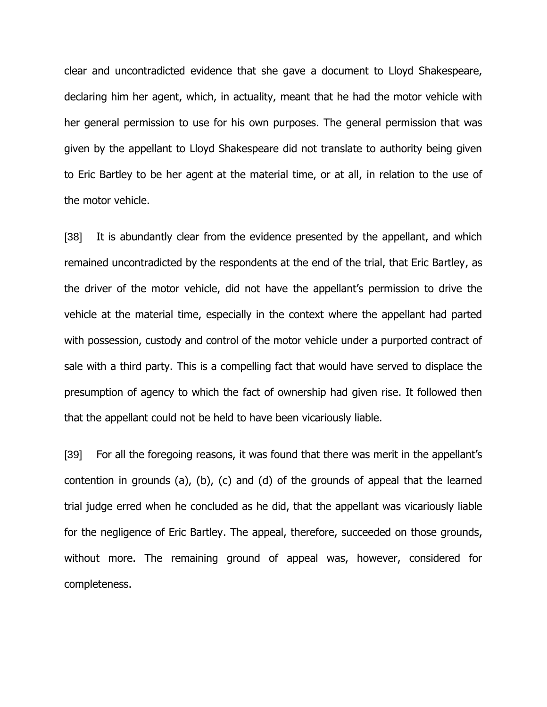clear and uncontradicted evidence that she gave a document to Lloyd Shakespeare, declaring him her agent, which, in actuality, meant that he had the motor vehicle with her general permission to use for his own purposes. The general permission that was given by the appellant to Lloyd Shakespeare did not translate to authority being given to Eric Bartley to be her agent at the material time, or at all, in relation to the use of the motor vehicle.

[38] It is abundantly clear from the evidence presented by the appellant, and which remained uncontradicted by the respondents at the end of the trial, that Eric Bartley, as the driver of the motor vehicle, did not have the appellant"s permission to drive the vehicle at the material time, especially in the context where the appellant had parted with possession, custody and control of the motor vehicle under a purported contract of sale with a third party. This is a compelling fact that would have served to displace the presumption of agency to which the fact of ownership had given rise. It followed then that the appellant could not be held to have been vicariously liable.

[39] For all the foregoing reasons, it was found that there was merit in the appellant"s contention in grounds (a), (b), (c) and (d) of the grounds of appeal that the learned trial judge erred when he concluded as he did, that the appellant was vicariously liable for the negligence of Eric Bartley. The appeal, therefore, succeeded on those grounds, without more. The remaining ground of appeal was, however, considered for completeness.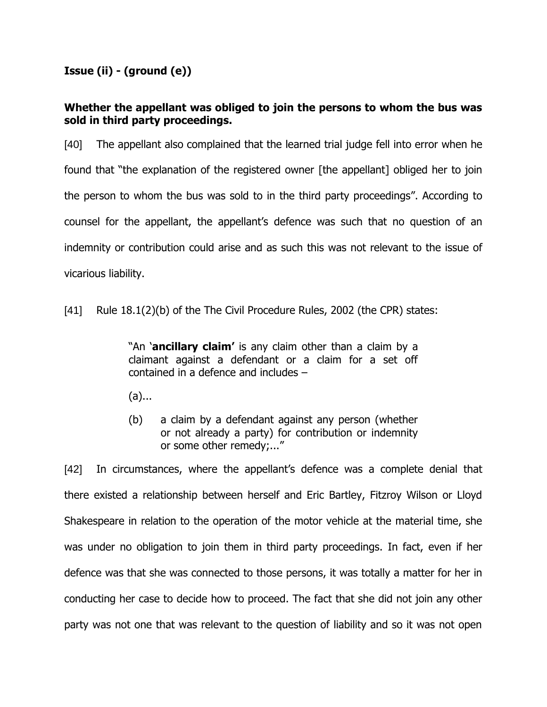# **Issue (ii) - (ground (e))**

# **Whether the appellant was obliged to join the persons to whom the bus was sold in third party proceedings.**

[40] The appellant also complained that the learned trial judge fell into error when he found that "the explanation of the registered owner [the appellant] obliged her to join the person to whom the bus was sold to in the third party proceedings". According to counsel for the appellant, the appellant"s defence was such that no question of an indemnity or contribution could arise and as such this was not relevant to the issue of vicarious liability.

[41] Rule 18.1(2)(b) of the The Civil Procedure Rules, 2002 (the CPR) states:

"An "**ancillary claim'** is any claim other than a claim by a claimant against a defendant or a claim for a set off contained in a defence and includes –

- (a)...
- (b) a claim by a defendant against any person (whether or not already a party) for contribution or indemnity or some other remedy;..."

[42] In circumstances, where the appellant"s defence was a complete denial that there existed a relationship between herself and Eric Bartley, Fitzroy Wilson or Lloyd Shakespeare in relation to the operation of the motor vehicle at the material time, she was under no obligation to join them in third party proceedings. In fact, even if her defence was that she was connected to those persons, it was totally a matter for her in conducting her case to decide how to proceed. The fact that she did not join any other party was not one that was relevant to the question of liability and so it was not open